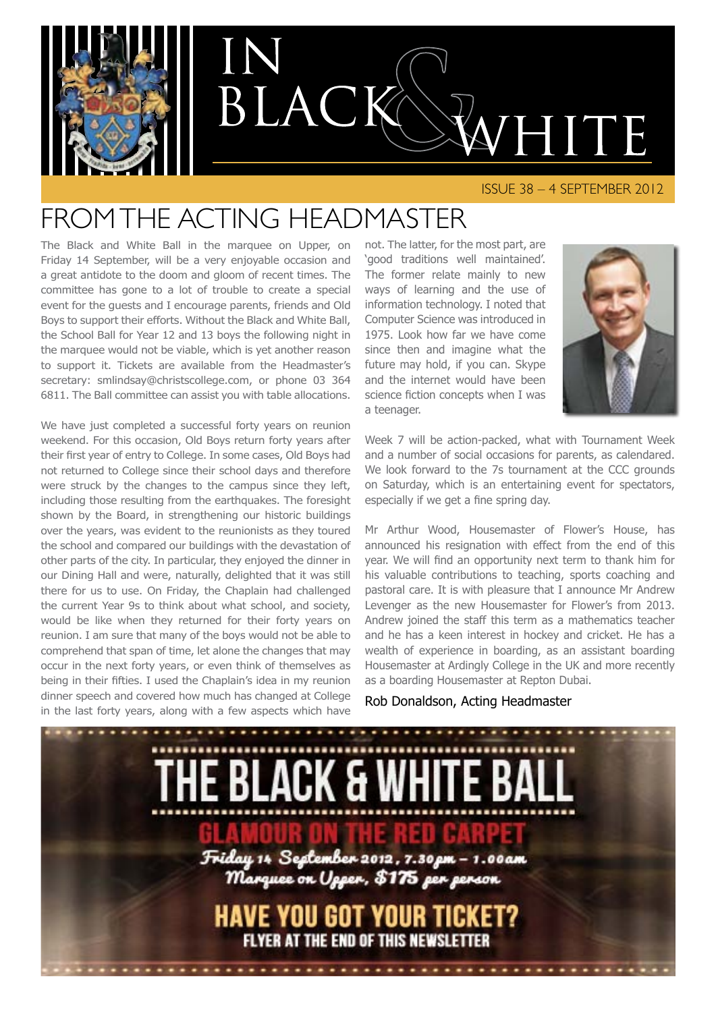

#### ISSUE 38 – 4 SEPTEMBER 2012

### Fromthe ACTING Headmaster

The Black and White Ball in the marquee on Upper, on Friday 14 September, will be a very enjoyable occasion and a great antidote to the doom and gloom of recent times. The committee has gone to a lot of trouble to create a special event for the guests and I encourage parents, friends and Old Boys to support their efforts. Without the Black and White Ball, the School Ball for Year 12 and 13 boys the following night in the marquee would not be viable, which is yet another reason to support it. Tickets are available from the Headmaster's secretary: smlindsay@christscollege.com, or phone 03 364 6811. The Ball committee can assist you with table allocations.

We have just completed a successful forty years on reunion weekend. For this occasion, Old Boys return forty years after their first year of entry to College. In some cases, Old Boys had not returned to College since their school days and therefore were struck by the changes to the campus since they left, including those resulting from the earthquakes. The foresight shown by the Board, in strengthening our historic buildings over the years, was evident to the reunionists as they toured the school and compared our buildings with the devastation of other parts of the city. In particular, they enjoyed the dinner in our Dining Hall and were, naturally, delighted that it was still there for us to use. On Friday, the Chaplain had challenged the current Year 9s to think about what school, and society, would be like when they returned for their forty years on reunion. I am sure that many of the boys would not be able to comprehend that span of time, let alone the changes that may occur in the next forty years, or even think of themselves as being in their fifties. I used the Chaplain's idea in my reunion dinner speech and covered how much has changed at College in the last forty years, along with a few aspects which have

not. The latter, for the most part, are 'good traditions well maintained'. The former relate mainly to new ways of learning and the use of information technology. I noted that Computer Science was introduced in 1975. Look how far we have come since then and imagine what the future may hold, if you can. Skype and the internet would have been science fiction concepts when I was a teenager.



Week 7 will be action-packed, what with Tournament Week and a number of social occasions for parents, as calendared. We look forward to the 7s tournament at the CCC grounds on Saturday, which is an entertaining event for spectators, especially if we get a fine spring day.

Mr Arthur Wood, Housemaster of Flower's House, has announced his resignation with effect from the end of this year. We will find an opportunity next term to thank him for his valuable contributions to teaching, sports coaching and pastoral care. It is with pleasure that I announce Mr Andrew Levenger as the new Housemaster for Flower's from 2013. Andrew joined the staff this term as a mathematics teacher and he has a keen interest in hockey and cricket. He has a wealth of experience in boarding, as an assistant boarding Housemaster at Ardingly College in the UK and more recently as a boarding Housemaster at Repton Dubai.

#### Rob Donaldson, Acting Headmaster

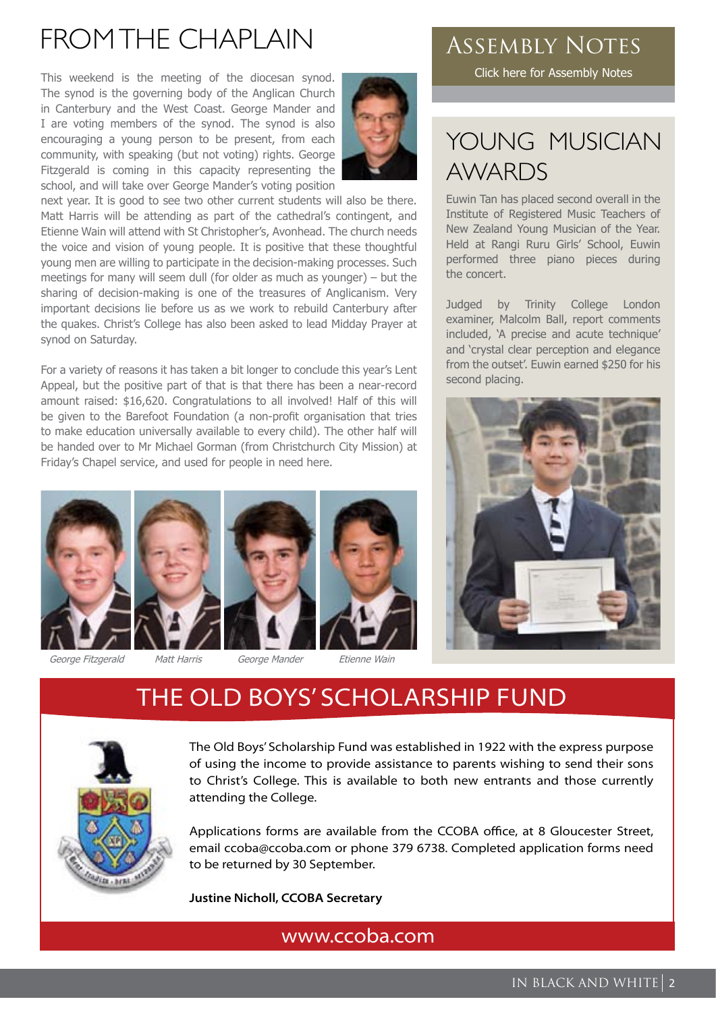### FROM THE CHAPI AIN

This weekend is the meeting of the diocesan synod. The synod is the governing body of the Anglican Church in Canterbury and the West Coast. George Mander and I are voting members of the synod. The synod is also encouraging a young person to be present, from each community, with speaking (but not voting) rights. George Fitzgerald is coming in this capacity representing the school, and will take over George Mander's voting position



next year. It is good to see two other current students will also be there. Matt Harris will be attending as part of the cathedral's contingent, and Etienne Wain will attend with St Christopher's, Avonhead. The church needs the voice and vision of young people. It is positive that these thoughtful young men are willing to participate in the decision-making processes. Such meetings for many will seem dull (for older as much as younger) – but the sharing of decision-making is one of the treasures of Anglicanism. Very important decisions lie before us as we work to rebuild Canterbury after the quakes. Christ's College has also been asked to lead Midday Prayer at synod on Saturday.

For a variety of reasons it has taken a bit longer to conclude this year's Lent Appeal, but the positive part of that is that there has been a near-record amount raised: \$16,620. Congratulations to all involved! Half of this will be given to the Barefoot Foundation (a non-profit organisation that tries to make education universally available to every child). The other half will be handed over to Mr Michael Gorman (from Christchurch City Mission) at Friday's Chapel service, and used for people in need here.









### Assembly Notes

[Click here for Assembly Notes](http://www.christscollege.com/information/assembly-notes)

### YOUNG MUSICIAN AWARDS

Euwin Tan has placed second overall in the Institute of Registered Music Teachers of New Zealand Young Musician of the Year. Held at Rangi Ruru Girls' School, Euwin performed three piano pieces during the concert.

Judged by Trinity College London examiner, Malcolm Ball, report comments included, 'A precise and acute technique' and 'crystal clear perception and elegance from the outset'. Euwin earned \$250 for his second placing.



### THE OLD BOYS' SCHOLARSHIP FUND



The Old Boys' Scholarship Fund was established in 1922 with the express purpose of using the income to provide assistance to parents wishing to send their sons to Christ's College. This is available to both new entrants and those currently attending the College.

Applications forms are available from the CCOBA office, at 8 Gloucester Street, email ccoba@ccoba.com or phone 379 6738. Completed application forms need to be returned by 30 September.

**Justine Nicholl, CCOBA Secretary**

[www.ccoba.com](http://www.ccoba.com)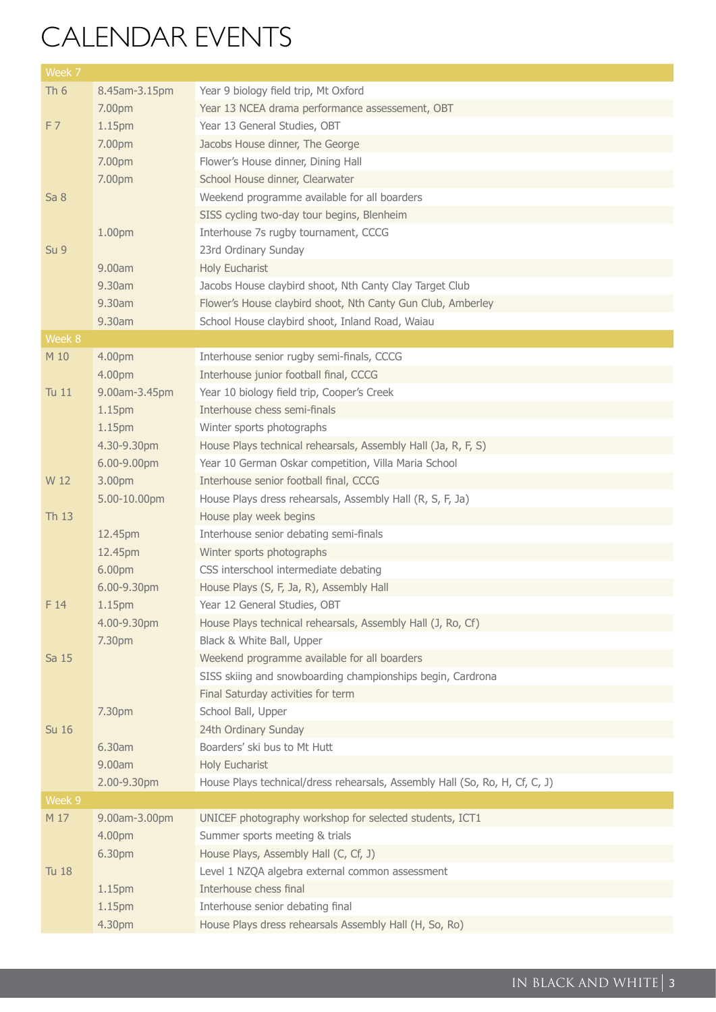## Calendar events

| Week 7          |                         |                                                                                           |
|-----------------|-------------------------|-------------------------------------------------------------------------------------------|
| Th <sub>6</sub> | 8.45am-3.15pm           | Year 9 biology field trip, Mt Oxford                                                      |
|                 | 7.00pm                  | Year 13 NCEA drama performance assessement, OBT                                           |
| F7              | 1.15pm                  | Year 13 General Studies, OBT                                                              |
|                 | 7.00pm                  | Jacobs House dinner, The George                                                           |
|                 | 7.00pm                  | Flower's House dinner, Dining Hall                                                        |
|                 | 7.00pm                  | School House dinner, Clearwater                                                           |
| Sa 8            |                         | Weekend programme available for all boarders                                              |
|                 |                         | SISS cycling two-day tour begins, Blenheim                                                |
|                 | 1.00pm                  | Interhouse 7s rugby tournament, CCCG                                                      |
| Su <sub>9</sub> |                         | 23rd Ordinary Sunday                                                                      |
|                 | 9.00am                  | Holy Eucharist                                                                            |
|                 | 9.30am                  | Jacobs House claybird shoot, Nth Canty Clay Target Club                                   |
|                 | 9.30am                  | Flower's House claybird shoot, Nth Canty Gun Club, Amberley                               |
|                 | 9.30am                  | School House claybird shoot, Inland Road, Waiau                                           |
| Week 8          |                         |                                                                                           |
| M 10            | 4.00pm                  | Interhouse senior rugby semi-finals, CCCG                                                 |
|                 | 4.00pm                  | Interhouse junior football final, CCCG                                                    |
| Tu 11           | 9.00am-3.45pm           | Year 10 biology field trip, Cooper's Creek                                                |
|                 | 1.15pm                  | Interhouse chess semi-finals                                                              |
|                 | 1.15pm                  | Winter sports photographs                                                                 |
|                 | 4.30-9.30pm             | House Plays technical rehearsals, Assembly Hall (Ja, R, F, S)                             |
|                 | 6.00-9.00pm             | Year 10 German Oskar competition, Villa Maria School                                      |
| W 12            | 3.00pm                  | Interhouse senior football final, CCCG                                                    |
|                 | 5.00-10.00pm            | House Plays dress rehearsals, Assembly Hall (R, S, F, Ja)                                 |
| Th 13           |                         | House play week begins                                                                    |
|                 | 12.45pm                 | Interhouse senior debating semi-finals                                                    |
|                 | 12.45pm                 | Winter sports photographs                                                                 |
|                 | 6.00pm                  | CSS interschool intermediate debating                                                     |
|                 | 6.00-9.30pm             | House Plays (S, F, Ja, R), Assembly Hall                                                  |
| F14             | 1.15 <sub>pm</sub>      | Year 12 General Studies, OBT                                                              |
|                 | 4.00-9.30pm             | House Plays technical rehearsals, Assembly Hall (J, Ro, Cf)                               |
|                 | 7.30pm                  | Black & White Ball, Upper                                                                 |
| Sa 15           |                         | Weekend programme available for all boarders                                              |
|                 |                         | SISS skiing and snowboarding championships begin, Cardrona                                |
|                 |                         | Final Saturday activities for term                                                        |
|                 | 7.30pm                  | School Ball, Upper                                                                        |
| <b>Su 16</b>    |                         | 24th Ordinary Sunday                                                                      |
|                 | 6.30am                  | Boarders' ski bus to Mt Hutt                                                              |
|                 | 9.00am                  | Holy Eucharist                                                                            |
|                 | 2.00-9.30pm             | House Plays technical/dress rehearsals, Assembly Hall (So, Ro, H, Cf, C, J)               |
| Week 9          |                         |                                                                                           |
| M 17            | 9.00am-3.00pm<br>4.00pm | UNICEF photography workshop for selected students, ICT1<br>Summer sports meeting & trials |
|                 |                         |                                                                                           |
|                 | 6.30pm                  | House Plays, Assembly Hall (C, Cf, J)                                                     |
| <b>Tu 18</b>    | 1.15pm                  | Level 1 NZQA algebra external common assessment<br>Interhouse chess final                 |
|                 | 1.15pm                  | Interhouse senior debating final                                                          |
|                 | 4.30pm                  | House Plays dress rehearsals Assembly Hall (H, So, Ro)                                    |
|                 |                         |                                                                                           |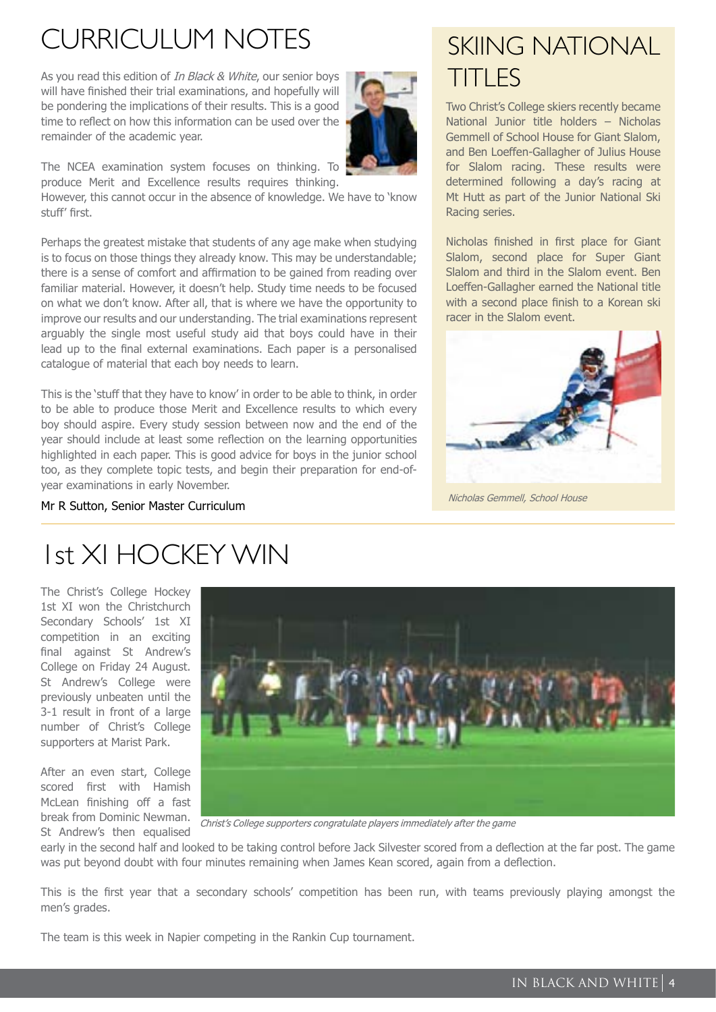### Curriculum Notes

As you read this edition of *In Black & White*, our senior boys will have finished their trial examinations, and hopefully will be pondering the implications of their results. This is a good time to reflect on how this information can be used over the remainder of the academic year.



The NCEA examination system focuses on thinking. To produce Merit and Excellence results requires thinking.

However, this cannot occur in the absence of knowledge. We have to 'know stuff' first.

Perhaps the greatest mistake that students of any age make when studying is to focus on those things they already know. This may be understandable; there is a sense of comfort and affirmation to be gained from reading over familiar material. However, it doesn't help. Study time needs to be focused on what we don't know. After all, that is where we have the opportunity to improve our results and our understanding. The trial examinations represent arguably the single most useful study aid that boys could have in their lead up to the final external examinations. Each paper is a personalised catalogue of material that each boy needs to learn.

This is the 'stuff that they have to know' in order to be able to think, in order to be able to produce those Merit and Excellence results to which every boy should aspire. Every study session between now and the end of the year should include at least some reflection on the learning opportunities highlighted in each paper. This is good advice for boys in the junior school too, as they complete topic tests, and begin their preparation for end-ofyear examinations in early November.

### SKIING NATIONAL TITLES

Two Christ's College skiers recently became National Junior title holders – Nicholas Gemmell of School House for Giant Slalom, and Ben Loeffen-Gallagher of Julius House for Slalom racing. These results were determined following a day's racing at Mt Hutt as part of the Junior National Ski Racing series.

Nicholas finished in first place for Giant Slalom, second place for Super Giant Slalom and third in the Slalom event. Ben Loeffen-Gallagher earned the National title with a second place finish to a Korean ski racer in the Slalom event.



Nicholas Gemmell, School House

Mr R Sutton, Senior Master Curriculum

## 1st XI HOCKEY WIN

The Christ's College Hockey 1st XI won the Christchurch Secondary Schools' 1st XI competition in an exciting final against St Andrew's College on Friday 24 August. St Andrew's College were previously unbeaten until the 3-1 result in front of a large number of Christ's College supporters at Marist Park.

After an even start, College scored first with Hamish McLean finishing off a fast break from Dominic Newman. St Andrew's then equalised



Christ's College supporters congratulate players immediately after the game

early in the second half and looked to be taking control before Jack Silvester scored from a deflection at the far post. The game was put beyond doubt with four minutes remaining when James Kean scored, again from a deflection.

This is the first year that a secondary schools' competition has been run, with teams previously playing amongst the men's grades.

The team is this week in Napier competing in the Rankin Cup tournament.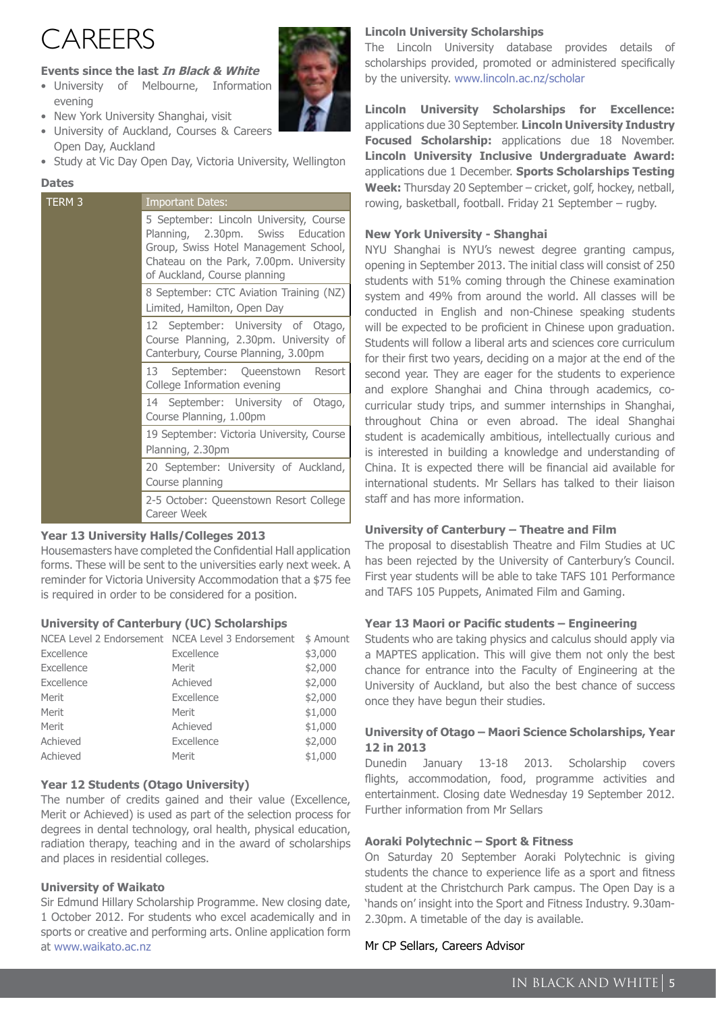## **CARFFRS**

#### **Events since the last In Black & White**

- University of Melbourne, Information evening
- New York University Shanghai, visit
- University of Auckland, Courses & Careers Open Day, Auckland
- Study at Vic Day Open Day, Victoria University, Wellington

#### **Dates**

| TERM <sub>3</sub> | <b>Important Dates:</b>                                                                                                                                                                          |
|-------------------|--------------------------------------------------------------------------------------------------------------------------------------------------------------------------------------------------|
|                   | 5 September: Lincoln University, Course<br>Planning, 2.30pm. Swiss Education<br>Group, Swiss Hotel Management School,<br>Chateau on the Park, 7.00pm. University<br>of Auckland, Course planning |
|                   | 8 September: CTC Aviation Training (NZ)<br>Limited, Hamilton, Open Day                                                                                                                           |
|                   | 12 September: University of Otago,<br>Course Planning, 2.30pm. University of<br>Canterbury, Course Planning, 3.00pm                                                                              |
|                   | 13 September: Queenstown<br>Resort<br>College Information evening                                                                                                                                |
|                   | 14 September: University of Otago,<br>Course Planning, 1.00pm                                                                                                                                    |
|                   | 19 September: Victoria University, Course<br>Planning, 2.30pm                                                                                                                                    |
|                   | 20 September: University of Auckland,<br>Course planning                                                                                                                                         |
|                   | 2-5 October: Queenstown Resort College<br>Career Week                                                                                                                                            |

#### **Year 13 University Halls/Colleges 2013**

Housemasters have completed the Confidential Hall application forms. These will be sent to the universities early next week. A reminder for Victoria University Accommodation that a \$75 fee is required in order to be considered for a position.

#### **University of Canterbury (UC) Scholarships**

| NCEA Level 2 Endorsement NCEA Level 3 Endorsement | \$ Amount |
|---------------------------------------------------|-----------|
| Excellence                                        | \$3,000   |
| Merit                                             | \$2,000   |
| Achieved                                          | \$2,000   |
| Excellence                                        | \$2,000   |
| Merit                                             | \$1,000   |
| Achieved                                          | \$1,000   |
| Excellence                                        | \$2,000   |
| Merit                                             | \$1,000   |
|                                                   |           |

#### **Year 12 Students (Otago University)**

The number of credits gained and their value (Excellence, Merit or Achieved) is used as part of the selection process for degrees in dental technology, oral health, physical education, radiation therapy, teaching and in the award of scholarships and places in residential colleges.

#### **University of Waikato**

Sir Edmund Hillary Scholarship Programme. New closing date, 1 October 2012. For students who excel academically and in sports or creative and performing arts. Online application form at [www.waikato.ac.nz](http://www.waikato.ac.nz)

#### **Lincoln University Scholarships**

The Lincoln University database provides details of scholarships provided, promoted or administered specifically by the university. [www.lincoln.ac.nz/scholar](http://www.lincoln.ac.nz/scholar)

**Lincoln University Scholarships for Excellence:** applications due 30 September. **Lincoln University Industry Focused Scholarship:** applications due 18 November. **Lincoln University Inclusive Undergraduate Award:** applications due 1 December. **Sports Scholarships Testing Week:** Thursday 20 September – cricket, golf, hockey, netball, rowing, basketball, football. Friday 21 September – rugby.

#### **New York University - Shanghai**

NYU Shanghai is NYU's newest degree granting campus, opening in September 2013. The initial class will consist of 250 students with 51% coming through the Chinese examination system and 49% from around the world. All classes will be conducted in English and non-Chinese speaking students will be expected to be proficient in Chinese upon graduation. Students will follow a liberal arts and sciences core curriculum for their first two years, deciding on a major at the end of the second year. They are eager for the students to experience and explore Shanghai and China through academics, cocurricular study trips, and summer internships in Shanghai, throughout China or even abroad. The ideal Shanghai student is academically ambitious, intellectually curious and is interested in building a knowledge and understanding of China. It is expected there will be financial aid available for international students. Mr Sellars has talked to their liaison staff and has more information.

#### **University of Canterbury – Theatre and Film**

The proposal to disestablish Theatre and Film Studies at UC has been rejected by the University of Canterbury's Council. First year students will be able to take TAFS 101 Performance and TAFS 105 Puppets, Animated Film and Gaming.

#### **Year 13 Maori or Pacific students – Engineering**

Students who are taking physics and calculus should apply via a MAPTES application. This will give them not only the best chance for entrance into the Faculty of Engineering at the University of Auckland, but also the best chance of success once they have begun their studies.

#### **University of Otago – Maori Science Scholarships, Year 12 in 2013**

Dunedin January 13-18 2013. Scholarship covers flights, accommodation, food, programme activities and entertainment. Closing date Wednesday 19 September 2012. Further information from Mr Sellars

#### **Aoraki Polytechnic – Sport & Fitness**

On Saturday 20 September Aoraki Polytechnic is giving students the chance to experience life as a sport and fitness student at the Christchurch Park campus. The Open Day is a 'hands on' insight into the Sport and Fitness Industry. 9.30am-2.30pm. A timetable of the day is available.

#### Mr CP Sellars, Careers Advisor

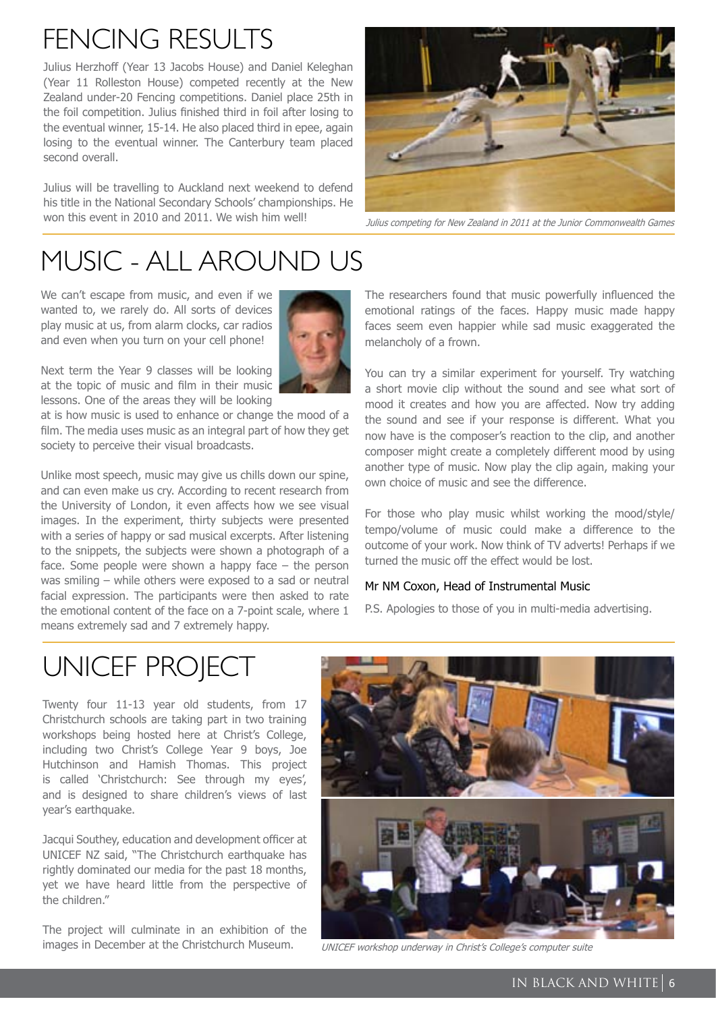# FFNCING RFSULTS

Julius Herzhoff (Year 13 Jacobs House) and Daniel Keleghan (Year 11 Rolleston House) competed recently at the New Zealand under-20 Fencing competitions. Daniel place 25th in the foil competition. Julius finished third in foil after losing to the eventual winner, 15-14. He also placed third in epee, again losing to the eventual winner. The Canterbury team placed second overall.

Julius will be travelling to Auckland next weekend to defend his title in the National Secondary Schools' championships. He won this event in 2010 and 2011. We wish him well!<br>Julius competing for New Zealand in 2011 at the Junior Commonwealth Games



# Music - all around us

We can't escape from music, and even if we wanted to, we rarely do. All sorts of devices play music at us, from alarm clocks, car radios and even when you turn on your cell phone!



Next term the Year 9 classes will be looking at the topic of music and film in their music lessons. One of the areas they will be looking

at is how music is used to enhance or change the mood of a film. The media uses music as an integral part of how they get society to perceive their visual broadcasts.

Unlike most speech, music may give us chills down our spine, and can even make us cry. According to recent research from the University of London, it even affects how we see visual images. In the experiment, thirty subjects were presented with a series of happy or sad musical excerpts. After listening to the snippets, the subjects were shown a photograph of a face. Some people were shown a happy face  $-$  the person was smiling – while others were exposed to a sad or neutral facial expression. The participants were then asked to rate the emotional content of the face on a 7-point scale, where 1 means extremely sad and 7 extremely happy.

The researchers found that music powerfully influenced the emotional ratings of the faces. Happy music made happy faces seem even happier while sad music exaggerated the melancholy of a frown.

You can try a similar experiment for yourself. Try watching a short movie clip without the sound and see what sort of mood it creates and how you are affected. Now try adding the sound and see if your response is different. What you now have is the composer's reaction to the clip, and another composer might create a completely different mood by using another type of music. Now play the clip again, making your own choice of music and see the difference.

For those who play music whilst working the mood/style/ tempo/volume of music could make a difference to the outcome of your work. Now think of TV adverts! Perhaps if we turned the music off the effect would be lost.

#### Mr NM Coxon, Head of Instrumental Music

P.S. Apologies to those of you in multi-media advertising.

## UNICEF PROJECT

Twenty four 11-13 year old students, from 17 Christchurch schools are taking part in two training workshops being hosted here at Christ's College, including two Christ's College Year 9 boys, Joe Hutchinson and Hamish Thomas. This project is called 'Christchurch: See through my eyes', and is designed to share children's views of last year's earthquake.

Jacqui Southey, education and development officer at UNICEF NZ said, "The Christchurch earthquake has rightly dominated our media for the past 18 months, yet we have heard little from the perspective of the children."

The project will culminate in an exhibition of the images in December at the Christchurch Museum. UNICEF workshop underway in Christ's College's computer suite

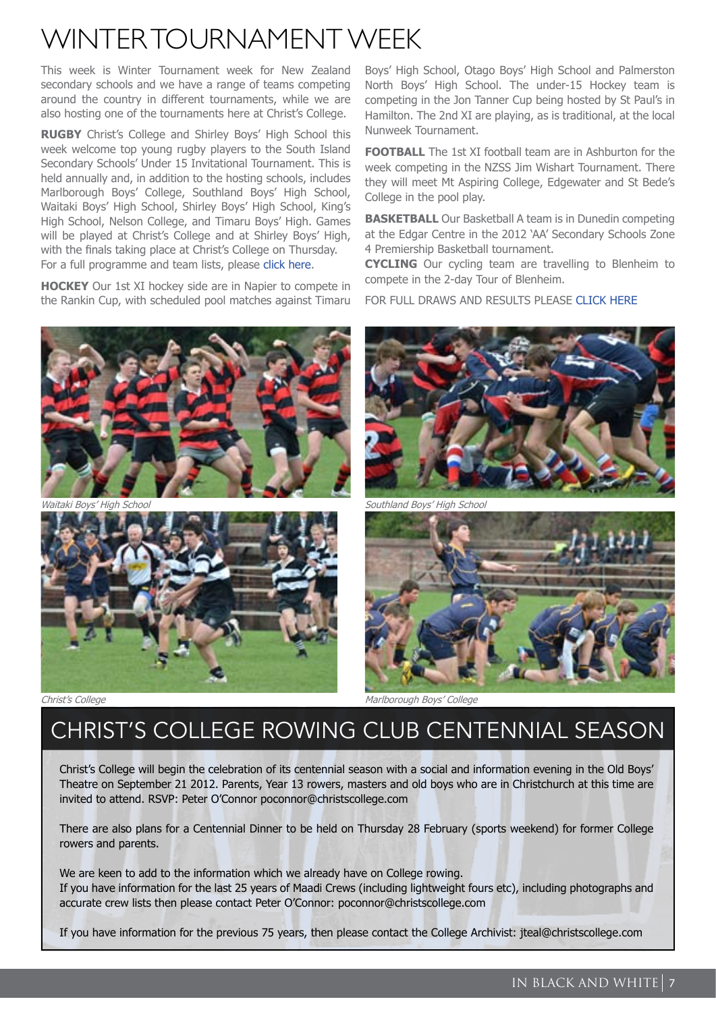### Winter Tournament Week

This week is Winter Tournament week for New Zealand secondary schools and we have a range of teams competing around the country in different tournaments, while we are also hosting one of the tournaments here at Christ's College.

**RUGBY** Christ's College and Shirley Boys' High School this week welcome top young rugby players to the South Island Secondary Schools' Under 15 Invitational Tournament. This is held annually and, in addition to the hosting schools, includes Marlborough Boys' College, Southland Boys' High School, Waitaki Boys' High School, Shirley Boys' High School, King's High School, Nelson College, and Timaru Boys' High. Games will be played at Christ's College and at Shirley Boys' High, with the finals taking place at Christ's College on Thursday. For a full programme and team lists, please [click here.](http://www.christscollege.com/news/2799-under-15-rugby-tournament)

**HOCKEY** Our 1st XI hockey side are in Napier to compete in the Rankin Cup, with scheduled pool matches against Timaru

Boys' High School, Otago Boys' High School and Palmerston North Boys' High School. The under-15 Hockey team is competing in the Jon Tanner Cup being hosted by St Paul's in Hamilton. The 2nd XI are playing, as is traditional, at the local Nunweek Tournament.

**FOOTBALL** The 1st XI football team are in Ashburton for the week competing in the NZSS Jim Wishart Tournament. There they will meet Mt Aspiring College, Edgewater and St Bede's College in the pool play.

**BASKETBALL** Our Basketball A team is in Dunedin competing at the Edgar Centre in the 2012 'AA' Secondary Schools Zone 4 Premiership Basketball tournament.

**CYCLING** Our cycling team are travelling to Blenheim to compete in the 2-day Tour of Blenheim.

FOR FULL DRAWS AND RESULTS PLEASE [CLICK HERE](http://www.allteams.co.nz/christs)







Southland Boys' High School



Christ's College College College College Marlborough Boys' College College College College College College College

### Christ's College Rowing Club Centennial Season

Christ's College will begin the celebration of its centennial season with a social and information evening in the Old Boys' Theatre on September 21 2012. Parents, Year 13 rowers, masters and old boys who are in Christchurch at this time are invited to attend. RSVP: Peter O'Connor poconnor@christscollege.com

There are also plans for a Centennial Dinner to be held on Thursday 28 February (sports weekend) for former College rowers and parents.

We are keen to add to the information which we already have on College rowing. If you have information for the last 25 years of Maadi Crews (including lightweight fours etc), including photographs and accurate crew lists then please contact Peter O'Connor: poconnor@christscollege.com

If you have information for the previous 75 years, then please contact the College Archivist: jteal@christscollege.com